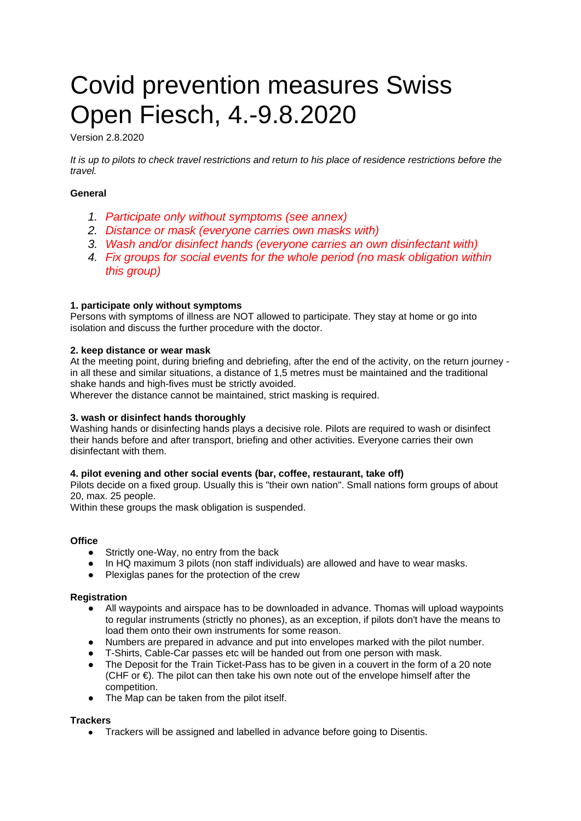# Covid prevention measures Swiss Open Fiesch, 4.-9.8.2020

Version 2.8.2020

*It is up to pilots to check travel restrictions and return to his place of residence restrictions before the travel.*

# **General**

- *1. Participate only without symptoms (see annex)*
- *2. Distance or mask (everyone carries own masks with)*
- *3. Wash and/or disinfect hands (everyone carries an own disinfectant with)*
- *4. Fix groups for social events for the whole period (no mask obligation within this group)*

# **1. participate only without symptoms**

Persons with symptoms of illness are NOT allowed to participate. They stay at home or go into isolation and discuss the further procedure with the doctor.

# **2. keep distance or wear mask**

At the meeting point, during briefing and debriefing, after the end of the activity, on the return journey in all these and similar situations, a distance of 1,5 metres must be maintained and the traditional shake hands and high-fives must be strictly avoided.

Wherever the distance cannot be maintained, strict masking is required.

# **3. wash or disinfect hands thoroughly**

Washing hands or disinfecting hands plays a decisive role. Pilots are required to wash or disinfect their hands before and after transport, briefing and other activities. Everyone carries their own disinfectant with them.

# **4. pilot evening and other social events (bar, coffee, restaurant, take off)**

Pilots decide on a fixed group. Usually this is "their own nation". Small nations form groups of about 20, max. 25 people.

Within these groups the mask obligation is suspended.

# **Office**

- Strictly one-Way, no entry from the back
- In HO maximum 3 pilots (non staff individuals) are allowed and have to wear masks.
- Plexiglas panes for the protection of the crew

#### **Registration**

- All waypoints and airspace has to be downloaded in advance. Thomas will upload waypoints to regular instruments (strictly no phones), as an exception, if pilots don't have the means to load them onto their own instruments for some reason.
- Numbers are prepared in advance and put into envelopes marked with the pilot number.
- T-Shirts, Cable-Car passes etc will be handed out from one person with mask.
- The Deposit for the Train Ticket-Pass has to be given in a couvert in the form of a 20 note (CHF or  $€$ ). The pilot can then take his own note out of the envelope himself after the competition.
- The Map can be taken from the pilot itself.

#### **Trackers**

● Trackers will be assigned and labelled in advance before going to Disentis.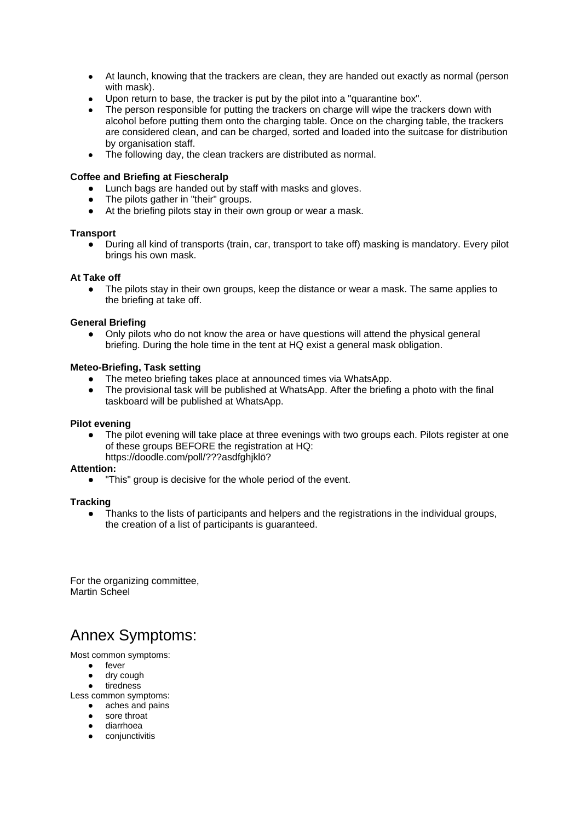- At launch, knowing that the trackers are clean, they are handed out exactly as normal (person with mask).
- Upon return to base, the tracker is put by the pilot into a "quarantine box".
- The person responsible for putting the trackers on charge will wipe the trackers down with alcohol before putting them onto the charging table. Once on the charging table, the trackers are considered clean, and can be charged, sorted and loaded into the suitcase for distribution by organisation staff.
- The following day, the clean trackers are distributed as normal.

#### **Coffee and Briefing at Fiescheralp**

- Lunch bags are handed out by staff with masks and gloves.
- The pilots gather in "their" groups.
- At the briefing pilots stay in their own group or wear a mask.

#### **Transport**

During all kind of transports (train, car, transport to take off) masking is mandatory. Every pilot brings his own mask.

#### **At Take off**

• The pilots stay in their own groups, keep the distance or wear a mask. The same applies to the briefing at take off.

#### **General Briefing**

● Only pilots who do not know the area or have questions will attend the physical general briefing. During the hole time in the tent at HQ exist a general mask obligation.

#### **Meteo-Briefing, Task setting**

- The meteo briefing takes place at announced times via WhatsApp.
- The provisional task will be published at WhatsApp. After the briefing a photo with the final taskboard will be published at WhatsApp.

#### **Pilot evening**

The pilot evening will take place at three evenings with two groups each. Pilots register at one of these groups BEFORE the registration at HQ: https://doodle.com/poll/???asdfghjklö?

#### **Attention:**

"This" group is decisive for the whole period of the event.

#### **Tracking**

● Thanks to the lists of participants and helpers and the registrations in the individual groups, the creation of a list of participants is guaranteed.

For the organizing committee, Martin Scheel

# Annex Symptoms:

Most common symptoms:

- fever
- dry cough
- tiredness
- Less common symptoms:
	- aches and pains
	- sore throat
	- diarrhoea
	- conjunctivitis